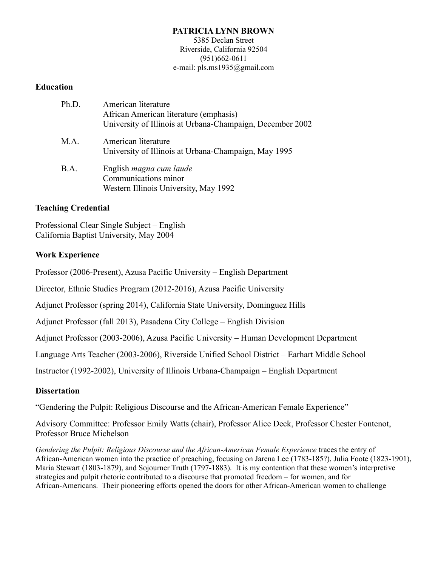#### **PATRICIA LYNN BROWN**

5385 Declan Street Riverside, California 92504 (951)662-0611 e-mail: pls.ms1935@gmail.com

#### **Education**

| Ph.D. | American literature<br>African American literature (emphasis)<br>University of Illinois at Urbana-Champaign, December 2002 |
|-------|----------------------------------------------------------------------------------------------------------------------------|
| M.A.  | American literature<br>University of Illinois at Urbana-Champaign, May 1995                                                |
| B.A.  | English <i>magna cum laude</i><br>Communications minor<br>Western Illinois University, May 1992                            |

#### **Teaching Credential**

Professional Clear Single Subject – English California Baptist University, May 2004

## **Work Experience**

Professor (2006-Present), Azusa Pacific University – English Department

Director, Ethnic Studies Program (2012-2016), Azusa Pacific University

Adjunct Professor (spring 2014), California State University, Dominguez Hills

Adjunct Professor (fall 2013), Pasadena City College – English Division

Adjunct Professor (2003-2006), Azusa Pacific University – Human Development Department

Language Arts Teacher (2003-2006), Riverside Unified School District – Earhart Middle School

Instructor (1992-2002), University of Illinois Urbana-Champaign – English Department

## **Dissertation**

"Gendering the Pulpit: Religious Discourse and the African-American Female Experience"

Advisory Committee: Professor Emily Watts (chair), Professor Alice Deck, Professor Chester Fontenot, Professor Bruce Michelson

*Gendering the Pulpit: Religious Discourse and the African-American Female Experience* traces the entry of African-American women into the practice of preaching, focusing on Jarena Lee (1783-185?), Julia Foote (1823-1901), Maria Stewart (1803-1879), and Sojourner Truth (1797-1883). It is my contention that these women's interpretive strategies and pulpit rhetoric contributed to a discourse that promoted freedom – for women, and for African-Americans. Their pioneering efforts opened the doors for other African-American women to challenge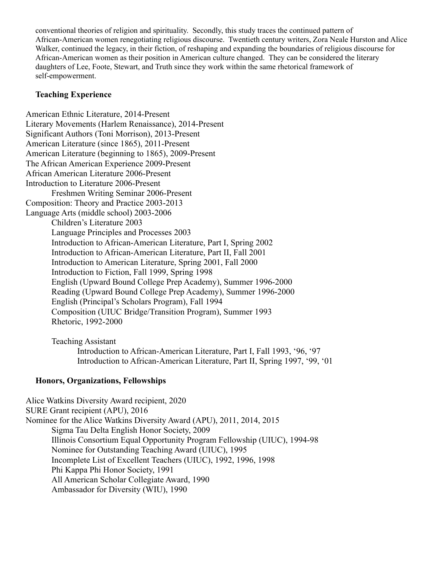conventional theories of religion and spirituality. Secondly, this study traces the continued pattern of African-American women renegotiating religious discourse. Twentieth century writers, Zora Neale Hurston and Alice Walker, continued the legacy, in their fiction, of reshaping and expanding the boundaries of religious discourse for African-American women as their position in American culture changed. They can be considered the literary daughters of Lee, Foote, Stewart, and Truth since they work within the same rhetorical framework of self-empowerment.

# **Teaching Experience**

American Ethnic Literature, 2014-Present Literary Movements (Harlem Renaissance), 2014-Present Significant Authors (Toni Morrison), 2013-Present American Literature (since 1865), 2011-Present American Literature (beginning to 1865), 2009-Present The African American Experience 2009-Present African American Literature 2006-Present Introduction to Literature 2006-Present Freshmen Writing Seminar 2006-Present Composition: Theory and Practice 2003-2013 Language Arts (middle school) 2003-2006 Children's Literature 2003 Language Principles and Processes 2003 Introduction to African-American Literature, Part I, Spring 2002 Introduction to African-American Literature, Part II, Fall 2001 Introduction to American Literature, Spring 2001, Fall 2000 Introduction to Fiction, Fall 1999, Spring 1998 English (Upward Bound College Prep Academy), Summer 1996-2000 Reading (Upward Bound College Prep Academy), Summer 1996-2000 English (Principal's Scholars Program), Fall 1994 Composition (UIUC Bridge/Transition Program), Summer 1993 Rhetoric, 1992-2000

Teaching Assistant Introduction to African-American Literature, Part I, Fall 1993, '96, '97 Introduction to African-American Literature, Part II, Spring 1997, '99, '01

# **Honors, Organizations, Fellowships**

Alice Watkins Diversity Award recipient, 2020 SURE Grant recipient (APU), 2016 Nominee for the Alice Watkins Diversity Award (APU), 2011, 2014, 2015 Sigma Tau Delta English Honor Society, 2009 Illinois Consortium Equal Opportunity Program Fellowship (UIUC), 1994-98 Nominee for Outstanding Teaching Award (UIUC), 1995 Incomplete List of Excellent Teachers (UIUC), 1992, 1996, 1998 Phi Kappa Phi Honor Society, 1991 All American Scholar Collegiate Award, 1990 Ambassador for Diversity (WIU), 1990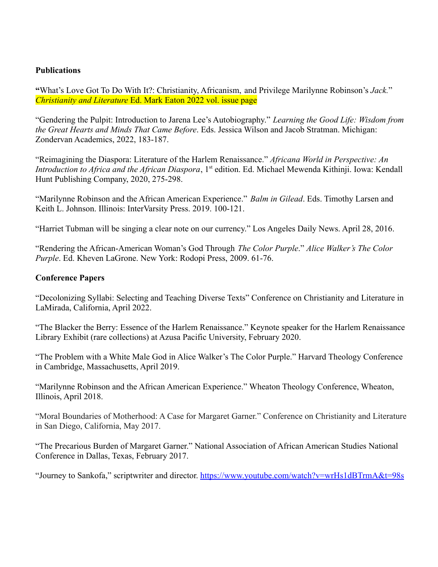#### **Publications**

**"**What's Love Got To Do With It?: Christianity, Africanism, and Privilege Marilynne Robinson's *Jack.*" *Christianity and Literature* Ed. Mark Eaton 2022 vol. issue page

"Gendering the Pulpit: Introduction to Jarena Lee's Autobiography." *Learning the Good Life: Wisdom from the Great Hearts and Minds That Came Before*. Eds. Jessica Wilson and Jacob Stratman. Michigan: Zondervan Academics, 2022, 183-187.

"Reimagining the Diaspora: Literature of the Harlem Renaissance." *Africana World in Perspective: An Introduction to Africa and the African Diaspora*, 1<sup>st</sup> edition. Ed. Michael Mewenda Kithinji. Iowa: Kendall Hunt Publishing Company, 2020, 275-298.

"Marilynne Robinson and the African American Experience." *Balm in Gilead*. Eds. Timothy Larsen and Keith L. Johnson. Illinois: InterVarsity Press. 2019. 100-121.

"Harriet Tubman will be singing a clear note on our currency." Los Angeles Daily News. April 28, 2016.

"Rendering the African-American Woman's God Through *The Color Purple*." *Alice Walker's The Color Purple*. Ed. Kheven LaGrone. New York: Rodopi Press, 2009. 61-76.

#### **Conference Papers**

"Decolonizing Syllabi: Selecting and Teaching Diverse Texts" Conference on Christianity and Literature in LaMirada, California, April 2022.

"The Blacker the Berry: Essence of the Harlem Renaissance." Keynote speaker for the Harlem Renaissance Library Exhibit (rare collections) at Azusa Pacific University, February 2020.

"The Problem with a White Male God in Alice Walker's The Color Purple." Harvard Theology Conference in Cambridge, Massachusetts, April 2019.

"Marilynne Robinson and the African American Experience." Wheaton Theology Conference, Wheaton, Illinois, April 2018.

"Moral Boundaries of Motherhood: A Case for Margaret Garner." Conference on Christianity and Literature in San Diego, California, May 2017.

"The Precarious Burden of Margaret Garner." National Association of African American Studies National Conference in Dallas, Texas, February 2017.

"Journey to Sankofa," scriptwriter and director. <https://www.youtube.com/watch?v=wrHs1dBTrmA&t=98s>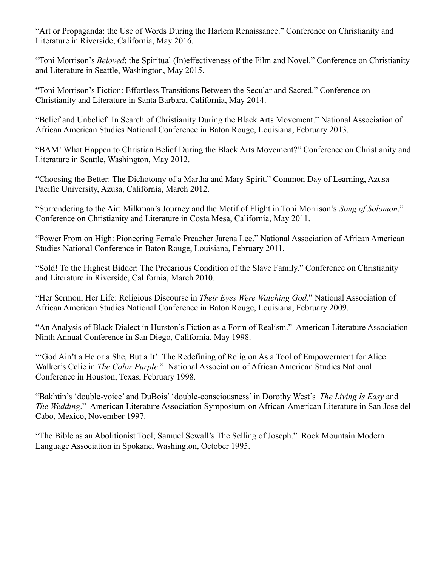"Art or Propaganda: the Use of Words During the Harlem Renaissance." Conference on Christianity and Literature in Riverside, California, May 2016.

"Toni Morrison's *Beloved*: the Spiritual (In)effectiveness of the Film and Novel." Conference on Christianity and Literature in Seattle, Washington, May 2015.

"Toni Morrison's Fiction: Effortless Transitions Between the Secular and Sacred." Conference on Christianity and Literature in Santa Barbara, California, May 2014.

"Belief and Unbelief: In Search of Christianity During the Black Arts Movement." National Association of African American Studies National Conference in Baton Rouge, Louisiana, February 2013.

"BAM! What Happen to Christian Belief During the Black Arts Movement?" Conference on Christianity and Literature in Seattle, Washington, May 2012.

"Choosing the Better: The Dichotomy of a Martha and Mary Spirit." Common Day of Learning, Azusa Pacific University, Azusa, California, March 2012.

"Surrendering to the Air: Milkman's Journey and the Motif of Flight in Toni Morrison's *Song of Solomon*." Conference on Christianity and Literature in Costa Mesa, California, May 2011.

"Power From on High: Pioneering Female Preacher Jarena Lee." National Association of African American Studies National Conference in Baton Rouge, Louisiana, February 2011.

"Sold! To the Highest Bidder: The Precarious Condition of the Slave Family." Conference on Christianity and Literature in Riverside, California, March 2010.

"Her Sermon, Her Life: Religious Discourse in *Their Eyes Were Watching God*." National Association of African American Studies National Conference in Baton Rouge, Louisiana, February 2009.

"An Analysis of Black Dialect in Hurston's Fiction as a Form of Realism." American Literature Association Ninth Annual Conference in San Diego, California, May 1998.

"'God Ain't a He or a She, But a It': The Redefining of Religion As a Tool of Empowerment for Alice Walker's Celie in *The Color Purple*." National Association of African American Studies National Conference in Houston, Texas, February 1998.

"Bakhtin's 'double-voice' and DuBois' 'double-consciousness' in Dorothy West's *The Living Is Easy* and *The Wedding*." American Literature Association Symposium on African-American Literature in San Jose del Cabo, Mexico, November 1997.

"The Bible as an Abolitionist Tool; Samuel Sewall's The Selling of Joseph." Rock Mountain Modern Language Association in Spokane, Washington, October 1995.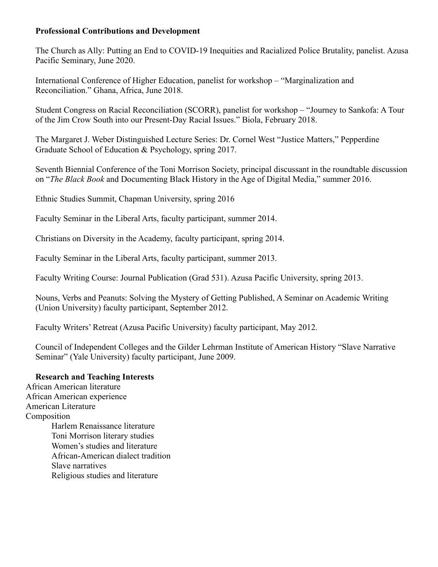## **Professional Contributions and Development**

The Church as Ally: Putting an End to COVID-19 Inequities and Racialized Police Brutality, panelist. Azusa Pacific Seminary, June 2020.

International Conference of Higher Education, panelist for workshop – "Marginalization and Reconciliation." Ghana, Africa, June 2018.

Student Congress on Racial Reconciliation (SCORR), panelist for workshop – "Journey to Sankofa: A Tour of the Jim Crow South into our Present-Day Racial Issues." Biola, February 2018.

The Margaret J. Weber Distinguished Lecture Series: Dr. Cornel West "Justice Matters," Pepperdine Graduate School of Education & Psychology, spring 2017.

Seventh Biennial Conference of the Toni Morrison Society, principal discussant in the roundtable discussion on "*The Black Book* and Documenting Black History in the Age of Digital Media," summer 2016.

Ethnic Studies Summit, Chapman University, spring 2016

Faculty Seminar in the Liberal Arts, faculty participant, summer 2014.

Christians on Diversity in the Academy, faculty participant, spring 2014.

Faculty Seminar in the Liberal Arts, faculty participant, summer 2013.

Faculty Writing Course: Journal Publication (Grad 531). Azusa Pacific University, spring 2013.

Nouns, Verbs and Peanuts: Solving the Mystery of Getting Published, A Seminar on Academic Writing (Union University) faculty participant, September 2012.

Faculty Writers' Retreat (Azusa Pacific University) faculty participant, May 2012.

Council of Independent Colleges and the Gilder Lehrman Institute of American History "Slave Narrative Seminar" (Yale University) faculty participant, June 2009.

#### **Research and Teaching Interests**

African American literature African American experience American Literature **Composition** Harlem Renaissance literature Toni Morrison literary studies Women's studies and literature African-American dialect tradition Slave narratives Religious studies and literature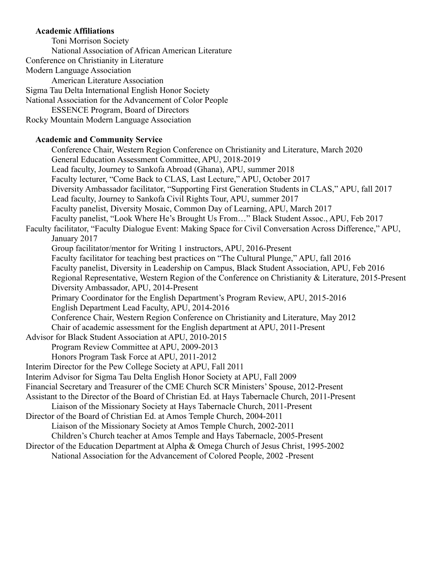#### **Academic Affiliations**

Toni Morrison Society National Association of African American Literature Conference on Christianity in Literature Modern Language Association American Literature Association Sigma Tau Delta International English Honor Society National Association for the Advancement of Color People ESSENCE Program, Board of Directors Rocky Mountain Modern Language Association

## **Academic and Community Service**

Conference Chair, Western Region Conference on Christianity and Literature, March 2020 General Education Assessment Committee, APU, 2018-2019 Lead faculty, Journey to Sankofa Abroad (Ghana), APU, summer 2018 Faculty lecturer, "Come Back to CLAS, Last Lecture," APU, October 2017 Diversity Ambassador facilitator, "Supporting First Generation Students in CLAS," APU, fall 2017 Lead faculty, Journey to Sankofa Civil Rights Tour, APU, summer 2017 Faculty panelist, Diversity Mosaic, Common Day of Learning, APU, March 2017 Faculty panelist, "Look Where He's Brought Us From…" Black Student Assoc., APU, Feb 2017 Faculty facilitator, "Faculty Dialogue Event: Making Space for Civil Conversation Across Difference," APU, January 2017 Group facilitator/mentor for Writing 1 instructors, APU, 2016-Present Faculty facilitator for teaching best practices on "The Cultural Plunge," APU, fall 2016 Faculty panelist, Diversity in Leadership on Campus, Black Student Association, APU, Feb 2016 Regional Representative, Western Region of the Conference on Christianity & Literature, 2015-Present Diversity Ambassador, APU, 2014-Present Primary Coordinator for the English Department's Program Review, APU, 2015-2016 English Department Lead Faculty, APU, 2014-2016 Conference Chair, Western Region Conference on Christianity and Literature, May 2012 Chair of academic assessment for the English department at APU, 2011-Present Advisor for Black Student Association at APU, 2010-2015 Program Review Committee at APU, 2009-2013 Honors Program Task Force at APU, 2011-2012 Interim Director for the Pew College Society at APU, Fall 2011 Interim Advisor for Sigma Tau Delta English Honor Society at APU, Fall 2009 Financial Secretary and Treasurer of the CME Church SCR Ministers' Spouse, 2012-Present Assistant to the Director of the Board of Christian Ed. at Hays Tabernacle Church, 2011-Present Liaison of the Missionary Society at Hays Tabernacle Church, 2011-Present Director of the Board of Christian Ed. at Amos Temple Church, 2004-2011 Liaison of the Missionary Society at Amos Temple Church, 2002-2011 Children's Church teacher at Amos Temple and Hays Tabernacle, 2005-Present Director of the Education Department at Alpha & Omega Church of Jesus Christ, 1995-2002

National Association for the Advancement of Colored People, 2002 -Present